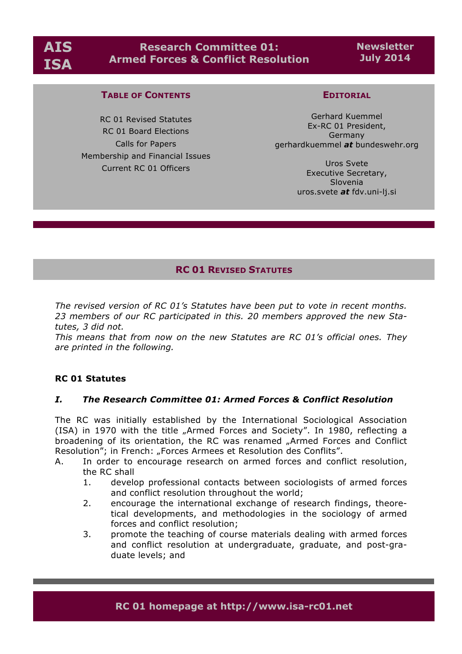

**Newsletter July 2014**

## **TABLE OF CONTENTS**

RC 01 Revised Statutes RC 01 Board Elections Calls for Papers Membership and Financial Issues Current RC 01 Officers

## **EDITORIAL**

Gerhard Kuemmel Ex-RC 01 President, Germany gerhardkuemmel *at* bundeswehr.org

> Uros Svete Executive Secretary, Slovenia uros.svete *at* fdv.uni-lj.si

# **RC 01 REVISED STATUTES**

*The revised version of RC 01's Statutes have been put to vote in recent months. 23 members of our RC participated in this. 20 members approved the new Statutes, 3 did not.* 

*This means that from now on the new Statutes are RC 01's official ones. They are printed in the following.*

### **RC 01 Statutes**

### *I. The Research Committee 01: Armed Forces & Conflict Resolution*

The RC was initially established by the International Sociological Association (ISA) in 1970 with the title "Armed Forces and Society". In 1980, reflecting a broadening of its orientation, the RC was renamed "Armed Forces and Conflict Resolution"; in French: "Forces Armees et Resolution des Conflits".

- A. In order to encourage research on armed forces and conflict resolution, the RC shall
	- 1. develop professional contacts between sociologists of armed forces and conflict resolution throughout the world;
	- 2. encourage the international exchange of research findings, theoretical developments, and methodologies in the sociology of armed forces and conflict resolution;
	- 3. promote the teaching of course materials dealing with armed forces and conflict resolution at undergraduate, graduate, and post-graduate levels; and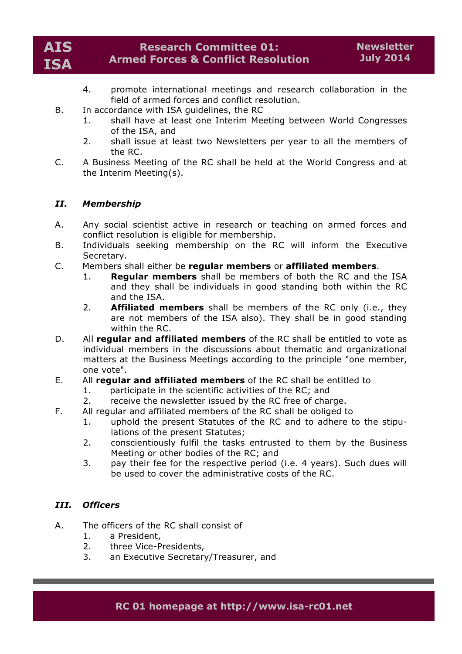

- 4. promote international meetings and research collaboration in the field of armed forces and conflict resolution.
- B. In accordance with ISA guidelines, the RC
	- 1. shall have at least one Interim Meeting between World Congresses of the ISA, and
	- 2. shall issue at least two Newsletters per year to all the members of the RC.
- C. A Business Meeting of the RC shall be held at the World Congress and at the Interim Meeting(s).

## *II. Membership*

- A. Any social scientist active in research or teaching on armed forces and conflict resolution is eligible for membership.
- B. Individuals seeking membership on the RC will inform the Executive Secretary.
- C. Members shall either be **regular members** or **affiliated members**.
	- 1. **Regular members** shall be members of both the RC and the ISA and they shall be individuals in good standing both within the RC and the ISA.
	- 2. **Affiliated members** shall be members of the RC only (i.e., they are not members of the ISA also). They shall be in good standing within the RC.
- D. All **regular and affiliated members** of the RC shall be entitled to vote as individual members in the discussions about thematic and organizational matters at the Business Meetings according to the principle "one member, one vote".
- E. All **regular and affiliated members** of the RC shall be entitled to
	- 1. participate in the scientific activities of the RC; and
	- 2. receive the newsletter issued by the RC free of charge.
- F. All regular and affiliated members of the RC shall be obliged to
	- 1. uphold the present Statutes of the RC and to adhere to the stipulations of the present Statutes;
	- 2. conscientiously fulfil the tasks entrusted to them by the Business Meeting or other bodies of the RC; and
	- 3. pay their fee for the respective period (i.e. 4 years). Such dues will be used to cover the administrative costs of the RC.

### *III. Officers*

- A. The officers of the RC shall consist of
	- 1. a President,
	- 2. three Vice-Presidents,
	- 3. an Executive Secretary/Treasurer, and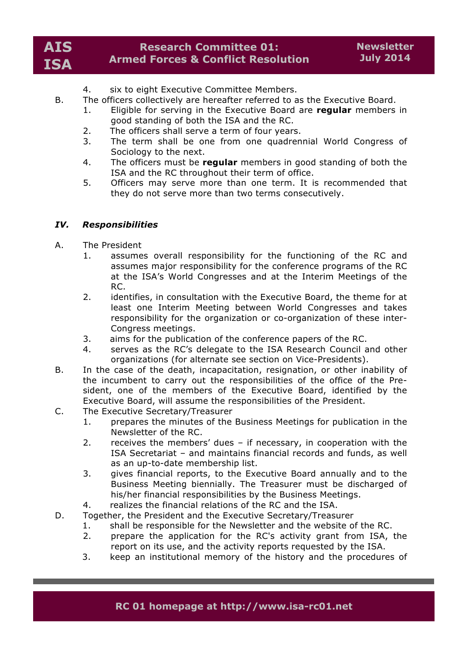- 4. six to eight Executive Committee Members.
- B. The officers collectively are hereafter referred to as the Executive Board.
	- 1. Eligible for serving in the Executive Board are **regular** members in good standing of both the ISA and the RC.
	- 2. The officers shall serve a term of four years.
	- 3. The term shall be one from one quadrennial World Congress of Sociology to the next.
	- 4. The officers must be **regular** members in good standing of both the ISA and the RC throughout their term of office.
	- 5. Officers may serve more than one term. It is recommended that they do not serve more than two terms consecutively.

## *IV. Responsibilities*

- A. The President
	- 1. assumes overall responsibility for the functioning of the RC and assumes major responsibility for the conference programs of the RC at the ISA's World Congresses and at the Interim Meetings of the RC.
	- 2. identifies, in consultation with the Executive Board, the theme for at least one Interim Meeting between World Congresses and takes responsibility for the organization or co-organization of these inter-Congress meetings.
	- 3. aims for the publication of the conference papers of the RC.
	- 4. serves as the RC's delegate to the ISA Research Council and other organizations (for alternate see section on Vice-Presidents).
- B. In the case of the death, incapacitation, resignation, or other inability of the incumbent to carry out the responsibilities of the office of the President, one of the members of the Executive Board, identified by the Executive Board, will assume the responsibilities of the President.
- C. The Executive Secretary/Treasurer
	- 1. prepares the minutes of the Business Meetings for publication in the Newsletter of the RC.
	- 2. receives the members' dues if necessary, in cooperation with the ISA Secretariat – and maintains financial records and funds, as well as an up-to-date membership list.
	- 3. gives financial reports, to the Executive Board annually and to the Business Meeting biennially. The Treasurer must be discharged of his/her financial responsibilities by the Business Meetings.
	- 4. realizes the financial relations of the RC and the ISA.
- D. Together, the President and the Executive Secretary/Treasurer
	- 1. shall be responsible for the Newsletter and the website of the RC.
		- 2. prepare the application for the RC's activity grant from ISA, the report on its use, and the activity reports requested by the ISA.
		- 3. keep an institutional memory of the history and the procedures of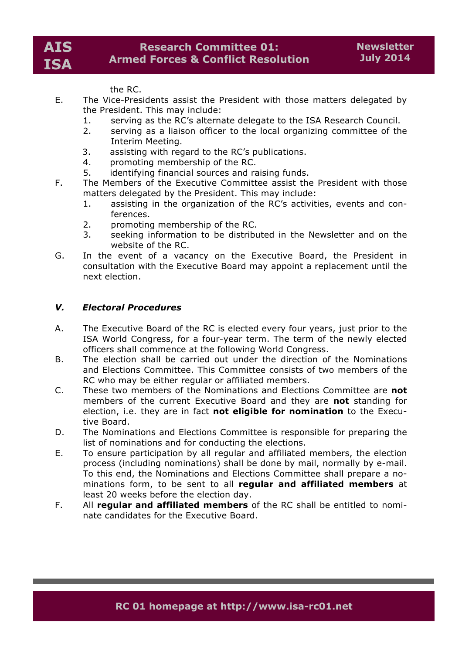the RC.

- E. The Vice-Presidents assist the President with those matters delegated by the President. This may include:
	- 1. serving as the RC's alternate delegate to the ISA Research Council.
	- 2. serving as a liaison officer to the local organizing committee of the Interim Meeting.
	- 3. assisting with regard to the RC's publications.
	- 4. promoting membership of the RC.
	- 5. identifying financial sources and raising funds.
- F. The Members of the Executive Committee assist the President with those matters delegated by the President. This may include:
	- 1. assisting in the organization of the RC's activities, events and conferences.
	- 2. promoting membership of the RC.
	- 3. seeking information to be distributed in the Newsletter and on the website of the RC.
- G. In the event of a vacancy on the Executive Board, the President in consultation with the Executive Board may appoint a replacement until the next election.

## *V. Electoral Procedures*

- A. The Executive Board of the RC is elected every four years, just prior to the ISA World Congress, for a four-year term. The term of the newly elected officers shall commence at the following World Congress.
- B. The election shall be carried out under the direction of the Nominations and Elections Committee. This Committee consists of two members of the RC who may be either regular or affiliated members.
- C. These two members of the Nominations and Elections Committee are **not** members of the current Executive Board and they are **not** standing for election, i.e. they are in fact **not eligible for nomination** to the Executive Board.
- D. The Nominations and Elections Committee is responsible for preparing the list of nominations and for conducting the elections.
- E. To ensure participation by all regular and affiliated members, the election process (including nominations) shall be done by mail, normally by e-mail. To this end, the Nominations and Elections Committee shall prepare a nominations form, to be sent to all **regular and affiliated members** at least 20 weeks before the election day.
- F. All **regular and affiliated members** of the RC shall be entitled to nominate candidates for the Executive Board.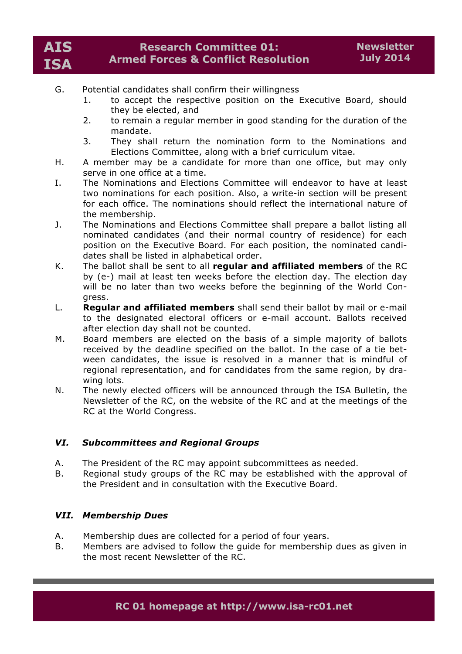- G. Potential candidates shall confirm their willingness
	- 1. to accept the respective position on the Executive Board, should they be elected, and
	- 2. to remain a regular member in good standing for the duration of the mandate.
	- 3. They shall return the nomination form to the Nominations and Elections Committee, along with a brief curriculum vitae.
- H. A member may be a candidate for more than one office, but may only serve in one office at a time.
- I. The Nominations and Elections Committee will endeavor to have at least two nominations for each position. Also, a write-in section will be present for each office. The nominations should reflect the international nature of the membership.
- J. The Nominations and Elections Committee shall prepare a ballot listing all nominated candidates (and their normal country of residence) for each position on the Executive Board. For each position, the nominated candidates shall be listed in alphabetical order.
- K. The ballot shall be sent to all **regular and affiliated members** of the RC by (e-) mail at least ten weeks before the election day. The election day will be no later than two weeks before the beginning of the World Congress.
- L. **Regular and affiliated members** shall send their ballot by mail or e-mail to the designated electoral officers or e-mail account. Ballots received after election day shall not be counted.
- M. Board members are elected on the basis of a simple majority of ballots received by the deadline specified on the ballot. In the case of a tie between candidates, the issue is resolved in a manner that is mindful of regional representation, and for candidates from the same region, by drawing lots.
- N. The newly elected officers will be announced through the ISA Bulletin, the Newsletter of the RC, on the website of the RC and at the meetings of the RC at the World Congress.

## *VI. Subcommittees and Regional Groups*

- A. The President of the RC may appoint subcommittees as needed.
- B. Regional study groups of the RC may be established with the approval of the President and in consultation with the Executive Board.

## *VII. Membership Dues*

- A. Membership dues are collected for a period of four years.
- B. Members are advised to follow the guide for membership dues as given in the most recent Newsletter of the RC.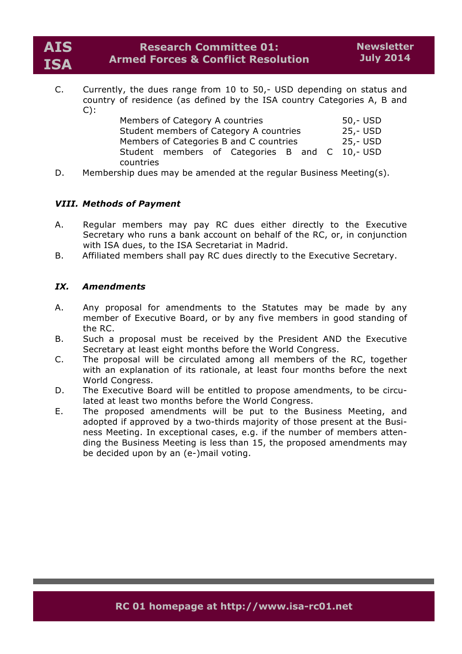C. Currently, the dues range from 10 to 50,- USD depending on status and country of residence (as defined by the ISA country Categories A, B and  $C)$ :

| Members of Category A countries                | 50,- USD |  |  |  |  |          |
|------------------------------------------------|----------|--|--|--|--|----------|
| Student members of Category A countries        |          |  |  |  |  | 25,- USD |
| Members of Categories B and C countries        |          |  |  |  |  | 25,- USD |
| Student members of Categories B and C 10,- USD |          |  |  |  |  |          |
| countries                                      |          |  |  |  |  |          |

D. Membership dues may be amended at the regular Business Meeting(s).

## *VIII. Methods of Payment*

- A. Regular members may pay RC dues either directly to the Executive Secretary who runs a bank account on behalf of the RC, or, in conjunction with ISA dues, to the ISA Secretariat in Madrid.
- B. Affiliated members shall pay RC dues directly to the Executive Secretary.

## *IX. Amendments*

- A. Any proposal for amendments to the Statutes may be made by any member of Executive Board, or by any five members in good standing of the RC.
- B. Such a proposal must be received by the President AND the Executive Secretary at least eight months before the World Congress.
- C. The proposal will be circulated among all members of the RC, together with an explanation of its rationale, at least four months before the next World Congress.
- D. The Executive Board will be entitled to propose amendments, to be circulated at least two months before the World Congress.
- E. The proposed amendments will be put to the Business Meeting, and adopted if approved by a two-thirds majority of those present at the Business Meeting. In exceptional cases, e.g. if the number of members attending the Business Meeting is less than 15, the proposed amendments may be decided upon by an (e-)mail voting.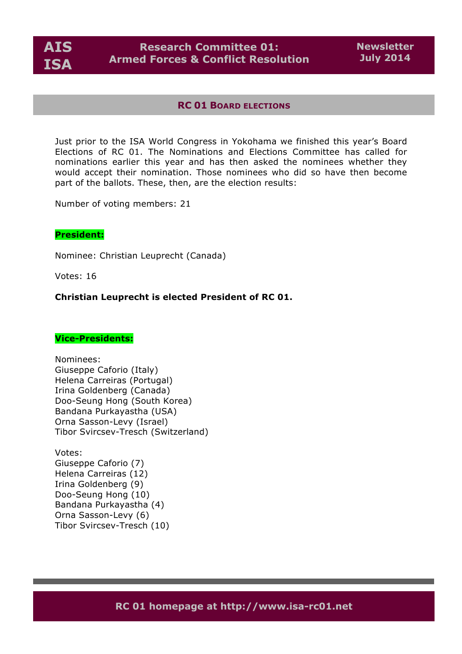

### **RC 01 BOARD ELECTIONS**

Just prior to the ISA World Congress in Yokohama we finished this year's Board Elections of RC 01. The Nominations and Elections Committee has called for nominations earlier this year and has then asked the nominees whether they would accept their nomination. Those nominees who did so have then become part of the ballots. These, then, are the election results:

Number of voting members: 21

## **President:**

Nominee: Christian Leuprecht (Canada)

Votes: 16

#### **Christian Leuprecht is elected President of RC 01.**

#### **Vice-Presidents:**

Nominees: Giuseppe Caforio (Italy) Helena Carreiras (Portugal) Irina Goldenberg (Canada) Doo-Seung Hong (South Korea) Bandana Purkayastha (USA) Orna Sasson-Levy (Israel) Tibor Svircsev-Tresch (Switzerland)

Votes: Giuseppe Caforio (7) Helena Carreiras (12) Irina Goldenberg (9) Doo-Seung Hong (10) Bandana Purkayastha (4) Orna Sasson-Levy (6) Tibor Svircsev-Tresch (10)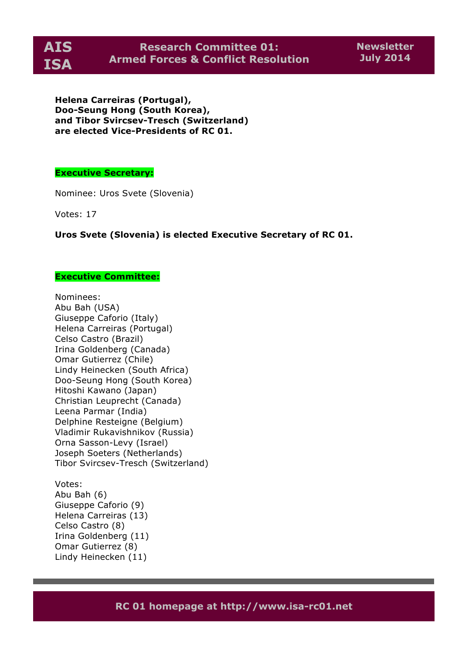

**Helena Carreiras (Portugal), Doo-Seung Hong (South Korea), and Tibor Svircsev-Tresch (Switzerland) are elected Vice-Presidents of RC 01.**

### **Executive Secretary:**

Nominee: Uros Svete (Slovenia)

Votes: 17

**Uros Svete (Slovenia) is elected Executive Secretary of RC 01.**

#### **Executive Committee:**

Nominees: Abu Bah (USA) Giuseppe Caforio (Italy) Helena Carreiras (Portugal) Celso Castro (Brazil) Irina Goldenberg (Canada) Omar Gutierrez (Chile) Lindy Heinecken (South Africa) Doo-Seung Hong (South Korea) Hitoshi Kawano (Japan) Christian Leuprecht (Canada) Leena Parmar (India) Delphine Resteigne (Belgium) Vladimir Rukavishnikov (Russia) Orna Sasson-Levy (Israel) Joseph Soeters (Netherlands) Tibor Svircsev-Tresch (Switzerland)

Votes: Abu Bah (6) Giuseppe Caforio (9) Helena Carreiras (13) Celso Castro (8) Irina Goldenberg (11) Omar Gutierrez (8) Lindy Heinecken (11)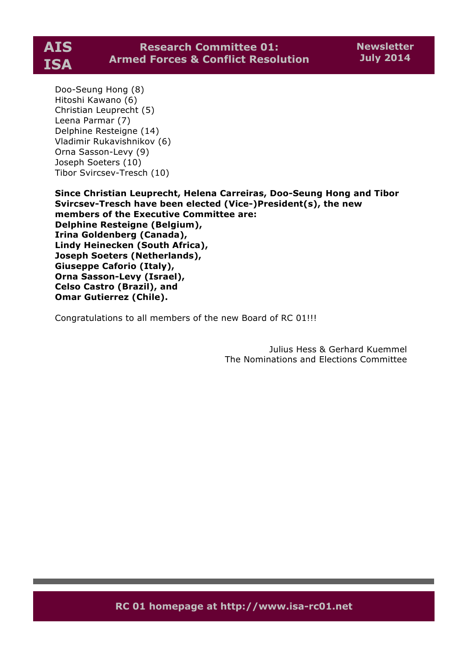

Doo-Seung Hong (8) Hitoshi Kawano (6) Christian Leuprecht (5) Leena Parmar (7) Delphine Resteigne (14) Vladimir Rukavishnikov (6) Orna Sasson-Levy (9) Joseph Soeters (10) Tibor Svircsev-Tresch (10)

**Since Christian Leuprecht, Helena Carreiras, Doo-Seung Hong and Tibor Svircsev-Tresch have been elected (Vice-)President(s), the new members of the Executive Committee are: Delphine Resteigne (Belgium), Irina Goldenberg (Canada), Lindy Heinecken (South Africa), Joseph Soeters (Netherlands), Giuseppe Caforio (Italy), Orna Sasson-Levy (Israel), Celso Castro (Brazil), and Omar Gutierrez (Chile).**

Congratulations to all members of the new Board of RC 01!!!

Julius Hess & Gerhard Kuemmel The Nominations and Elections Committee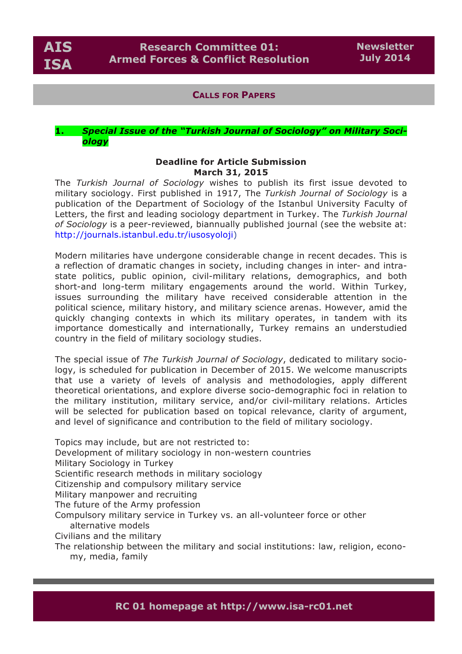

## **CALLS FOR PAPERS**

### **1.** *Special Issue of the "Turkish Journal of Sociology" on Military Sociology*

#### **Deadline for Article Submission March 31, 2015**

The *Turkish Journal of Sociology* wishes to publish its first issue devoted to military sociology. First published in 1917, The *Turkish Journal of Sociology* is a publication of the Department of Sociology of the Istanbul University Faculty of Letters, the first and leading sociology department in Turkey. The *Turkish Journal of Sociology* is a peer-reviewed, biannually published journal (see the website at: http://journals.istanbul.edu.tr/iusosyoloji)

Modern militaries have undergone considerable change in recent decades. This is a reflection of dramatic changes in society, including changes in inter- and intrastate politics, public opinion, civil-military relations, demographics, and both short-and long-term military engagements around the world. Within Turkey, issues surrounding the military have received considerable attention in the political science, military history, and military science arenas. However, amid the quickly changing contexts in which its military operates, in tandem with its importance domestically and internationally, Turkey remains an understudied country in the field of military sociology studies.

The special issue of *The Turkish Journal of Sociology*, dedicated to military sociology, is scheduled for publication in December of 2015. We welcome manuscripts that use a variety of levels of analysis and methodologies, apply different theoretical orientations, and explore diverse socio-demographic foci in relation to the military institution, military service, and/or civil-military relations. Articles will be selected for publication based on topical relevance, clarity of argument, and level of significance and contribution to the field of military sociology.

Topics may include, but are not restricted to: Development of military sociology in non-western countries Military Sociology in Turkey Scientific research methods in military sociology Citizenship and compulsory military service Military manpower and recruiting The future of the Army profession Compulsory military service in Turkey vs. an all-volunteer force or other alternative models Civilians and the military The relationship between the military and social institutions: law, religion, econo-

my, media, family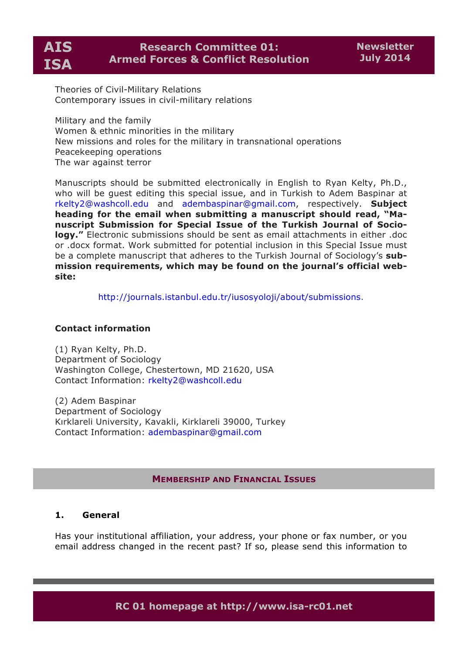**AIS ISA**

# **Research Committee 01: Armed Forces & Conflict Resolution**

Theories of Civil-Military Relations Contemporary issues in civil-military relations

Military and the family Women & ethnic minorities in the military New missions and roles for the military in transnational operations Peacekeeping operations The war against terror

Manuscripts should be submitted electronically in English to Ryan Kelty, Ph.D., who will be guest editing this special issue, and in Turkish to Adem Baspinar at rkelty2@washcoll.edu and adembaspinar@gmail.com, respectively. **Subject heading for the email when submitting a manuscript should read, "Manuscript Submission for Special Issue of the Turkish Journal of Sociology."** Electronic submissions should be sent as email attachments in either .doc or .docx format. Work submitted for potential inclusion in this Special Issue must be a complete manuscript that adheres to the Turkish Journal of Sociology's **submission requirements, which may be found on the journal's official website:**

http://journals.istanbul.edu.tr/iusosyoloji/about/submissions.

### **Contact information**

(1) Ryan Kelty, Ph.D. Department of Sociology Washington College, Chestertown, MD 21620, USA Contact Information: rkelty2@washcoll.edu

(2) Adem Baspinar Department of Sociology Kırklareli University, Kavakli, Kirklareli 39000, Turkey Contact Information: adembaspinar@gmail.com

### **MEMBERSHIP AND FINANCIAL ISSUES**

## **1. General**

Has your institutional affiliation, your address, your phone or fax number, or you email address changed in the recent past? If so, please send this information to

**RC 01 homepage at http://www.isa-rc01.net**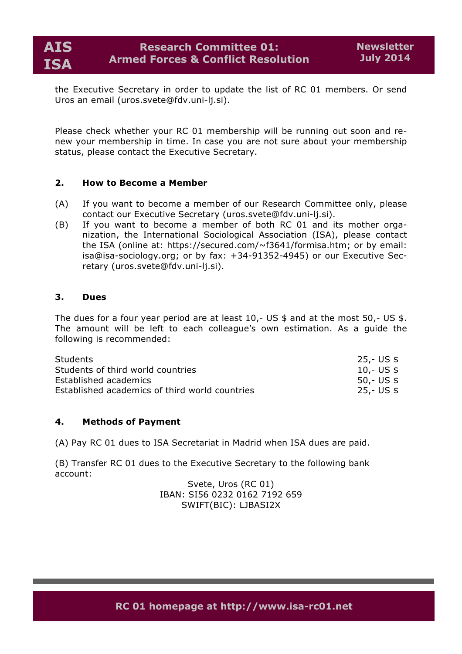the Executive Secretary in order to update the list of RC 01 members. Or send Uros an email (uros.svete@fdv.uni-lj.si).

Please check whether your RC 01 membership will be running out soon and renew your membership in time. In case you are not sure about your membership status, please contact the Executive Secretary.

## **2. How to Become a Member**

- (A) If you want to become a member of our Research Committee only, please contact our Executive Secretary (uros.svete@fdv.uni-lj.si).
- (B) If you want to become a member of both RC 01 and its mother organization, the International Sociological Association (ISA), please contact the ISA (online at: https://secured.com/~f3641/formisa.htm; or by email: isa@isa-sociology.org; or by fax: +34-91352-4945) or our Executive Secretary (uros.svete@fdv.uni-lj.si).

## **3. Dues**

The dues for a four year period are at least  $10, -$  US \$ and at the most  $50, -$  US \$. The amount will be left to each colleague's own estimation. As a guide the following is recommended:

| Students                                       | 25,- US \$ |
|------------------------------------------------|------------|
| Students of third world countries              | 10,- US \$ |
| Established academics                          | 50,- US \$ |
| Established academics of third world countries | 25,- US \$ |

### **4. Methods of Payment**

(A) Pay RC 01 dues to ISA Secretariat in Madrid when ISA dues are paid.

(B) Transfer RC 01 dues to the Executive Secretary to the following bank account:

> Svete, Uros (RC 01) IBAN: SI56 0232 0162 7192 659 SWIFT(BIC): LJBASI2X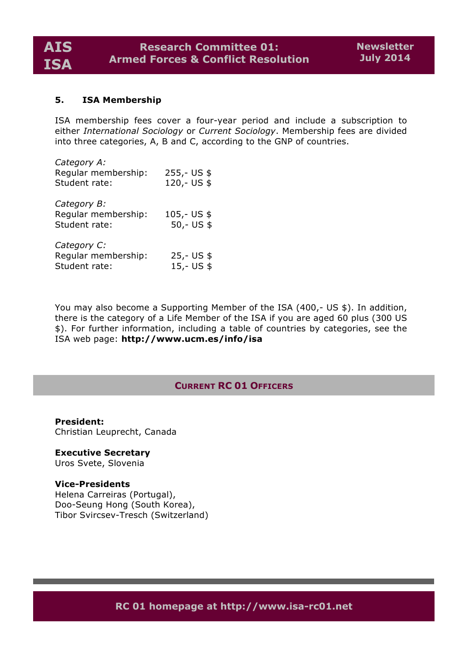## **5. ISA Membership**

ISA membership fees cover a four-year period and include a subscription to either *International Sociology* or *Current Sociology*. Membership fees are divided into three categories, A, B and C, according to the GNP of countries.

| Category A:<br>Regular membership:<br>Student rate: | $255,-US$ \$<br>120,- US \$   |
|-----------------------------------------------------|-------------------------------|
| Category B:<br>Regular membership:<br>Student rate: | $105 - US$ \$<br>$50 - US$ \$ |
| Category C:<br>Regular membership:<br>Student rate: | $25 - US$ \$<br>$15 - US$ \$  |

You may also become a Supporting Member of the ISA (400,- US \$). In addition, there is the category of a Life Member of the ISA if you are aged 60 plus (300 US \$). For further information, including a table of countries by categories, see the ISA web page: **http://www.ucm.es/info/isa**

## **CURRENT RC 01 OFFICERS**

**President:** Christian Leuprecht, Canada

**Executive Secretary** Uros Svete, Slovenia

#### **Vice-Presidents**

Helena Carreiras (Portugal), Doo-Seung Hong (South Korea), Tibor Svircsev-Tresch (Switzerland)